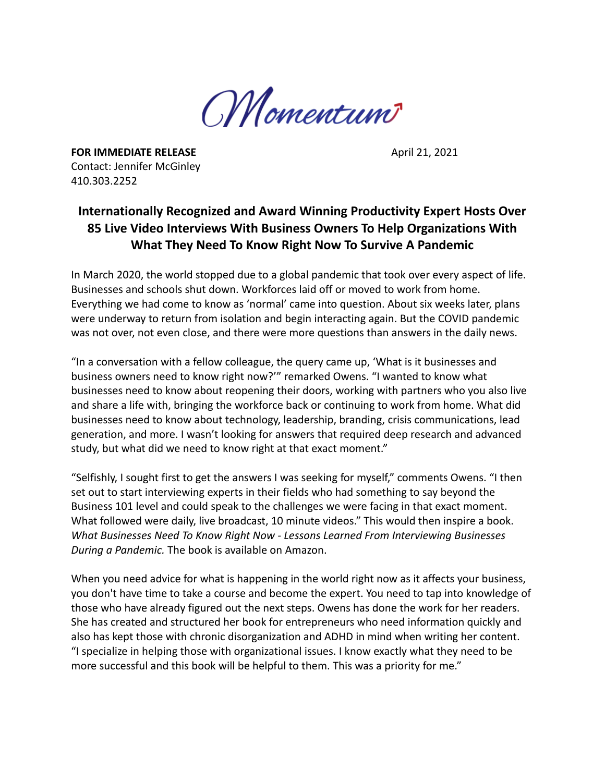

**FOR IMMEDIATE RELEASE April 21, 2021** Contact: Jennifer McGinley 410.303.2252

## **Internationally Recognized and Award Winning Productivity Expert Hosts Over 85 Live Video Interviews With Business Owners To Help Organizations With What They Need To Know Right Now To Survive A Pandemic**

In March 2020, the world stopped due to a global pandemic that took over every aspect of life. Businesses and schools shut down. Workforces laid off or moved to work from home. Everything we had come to know as 'normal' came into question. About six weeks later, plans were underway to return from isolation and begin interacting again. But the COVID pandemic was not over, not even close, and there were more questions than answers in the daily news.

"In a conversation with a fellow colleague, the query came up, 'What is it businesses and business owners need to know right now?'" remarked Owens. "I wanted to know what businesses need to know about reopening their doors, working with partners who you also live and share a life with, bringing the workforce back or continuing to work from home. What did businesses need to know about technology, leadership, branding, crisis communications, lead generation, and more. I wasn't looking for answers that required deep research and advanced study, but what did we need to know right at that exact moment."

"Selfishly, I sought first to get the answers I was seeking for myself," comments Owens. "I then set out to start interviewing experts in their fields who had something to say beyond the Business 101 level and could speak to the challenges we were facing in that exact moment. What followed were daily, live broadcast, 10 minute videos." This would then inspire a book. *What Businesses Need To Know Right Now - Lessons Learned From Interviewing Businesses During a Pandemic.* The book is available on Amazon.

When you need advice for what is happening in the world right now as it affects your business, you don't have time to take a course and become the expert. You need to tap into knowledge of those who have already figured out the next steps. Owens has done the work for her readers. She has created and structured her book for entrepreneurs who need information quickly and also has kept those with chronic disorganization and ADHD in mind when writing her content. "I specialize in helping those with organizational issues. I know exactly what they need to be more successful and this book will be helpful to them. This was a priority for me."